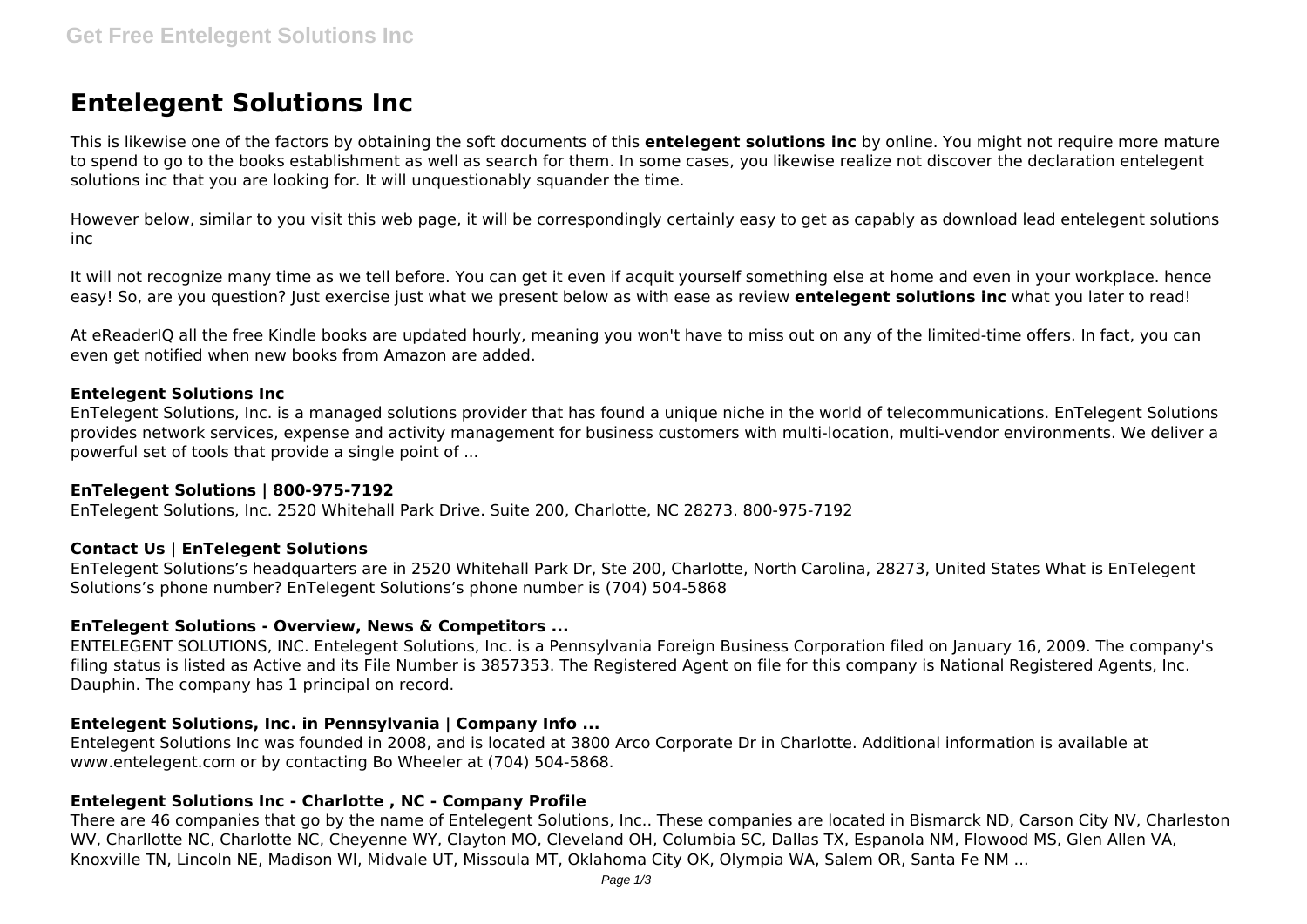# **Entelegent Solutions Inc**

This is likewise one of the factors by obtaining the soft documents of this **entelegent solutions inc** by online. You might not require more mature to spend to go to the books establishment as well as search for them. In some cases, you likewise realize not discover the declaration entelegent solutions inc that you are looking for. It will unquestionably squander the time.

However below, similar to you visit this web page, it will be correspondingly certainly easy to get as capably as download lead entelegent solutions inc

It will not recognize many time as we tell before. You can get it even if acquit yourself something else at home and even in your workplace. hence easy! So, are you question? Just exercise just what we present below as with ease as review **entelegent solutions inc** what you later to read!

At eReaderIQ all the free Kindle books are updated hourly, meaning you won't have to miss out on any of the limited-time offers. In fact, you can even get notified when new books from Amazon are added.

## **Entelegent Solutions Inc**

EnTelegent Solutions, Inc. is a managed solutions provider that has found a unique niche in the world of telecommunications. EnTelegent Solutions provides network services, expense and activity management for business customers with multi-location, multi-vendor environments. We deliver a powerful set of tools that provide a single point of ...

## **EnTelegent Solutions | 800-975-7192**

EnTelegent Solutions, Inc. 2520 Whitehall Park Drive. Suite 200, Charlotte, NC 28273. 800-975-7192

# **Contact Us | EnTelegent Solutions**

EnTelegent Solutions's headquarters are in 2520 Whitehall Park Dr, Ste 200, Charlotte, North Carolina, 28273, United States What is EnTelegent Solutions's phone number? EnTelegent Solutions's phone number is (704) 504-5868

# **EnTelegent Solutions - Overview, News & Competitors ...**

ENTELEGENT SOLUTIONS, INC. Entelegent Solutions, Inc. is a Pennsylvania Foreign Business Corporation filed on January 16, 2009. The company's filing status is listed as Active and its File Number is 3857353. The Registered Agent on file for this company is National Registered Agents, Inc. Dauphin. The company has 1 principal on record.

# **Entelegent Solutions, Inc. in Pennsylvania | Company Info ...**

Entelegent Solutions Inc was founded in 2008, and is located at 3800 Arco Corporate Dr in Charlotte. Additional information is available at www.entelegent.com or by contacting Bo Wheeler at (704) 504-5868.

# **Entelegent Solutions Inc - Charlotte , NC - Company Profile**

There are 46 companies that go by the name of Entelegent Solutions, Inc.. These companies are located in Bismarck ND, Carson City NV, Charleston WV, Charllotte NC, Charlotte NC, Cheyenne WY, Clayton MO, Cleveland OH, Columbia SC, Dallas TX, Espanola NM, Flowood MS, Glen Allen VA, Knoxville TN, Lincoln NE, Madison WI, Midvale UT, Missoula MT, Oklahoma City OK, Olympia WA, Salem OR, Santa Fe NM ...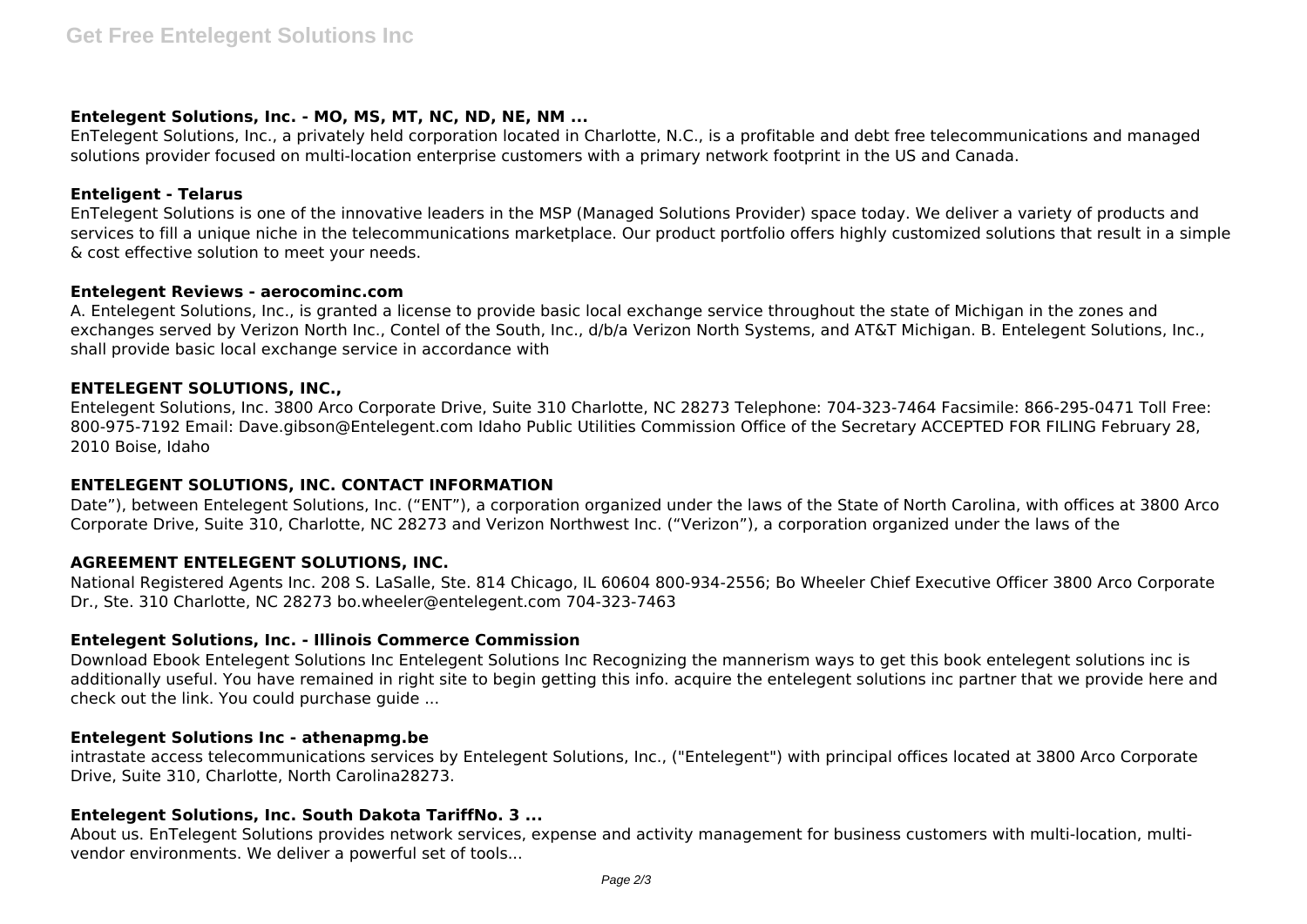## **Entelegent Solutions, Inc. - MO, MS, MT, NC, ND, NE, NM ...**

EnTelegent Solutions, Inc., a privately held corporation located in Charlotte, N.C., is a profitable and debt free telecommunications and managed solutions provider focused on multi-location enterprise customers with a primary network footprint in the US and Canada.

#### **Enteligent - Telarus**

EnTelegent Solutions is one of the innovative leaders in the MSP (Managed Solutions Provider) space today. We deliver a variety of products and services to fill a unique niche in the telecommunications marketplace. Our product portfolio offers highly customized solutions that result in a simple & cost effective solution to meet your needs.

#### **Entelegent Reviews - aerocominc.com**

A. Entelegent Solutions, Inc., is granted a license to provide basic local exchange service throughout the state of Michigan in the zones and exchanges served by Verizon North Inc., Contel of the South, Inc., d/b/a Verizon North Systems, and AT&T Michigan. B. Entelegent Solutions, Inc., shall provide basic local exchange service in accordance with

## **ENTELEGENT SOLUTIONS, INC.,**

Entelegent Solutions, Inc. 3800 Arco Corporate Drive, Suite 310 Charlotte, NC 28273 Telephone: 704-323-7464 Facsimile: 866-295-0471 Toll Free: 800-975-7192 Email: Dave.gibson@Entelegent.com Idaho Public Utilities Commission Office of the Secretary ACCEPTED FOR FILING February 28, 2010 Boise, Idaho

# **ENTELEGENT SOLUTIONS, INC. CONTACT INFORMATION**

Date"), between Entelegent Solutions, Inc. ("ENT"), a corporation organized under the laws of the State of North Carolina, with offices at 3800 Arco Corporate Drive, Suite 310, Charlotte, NC 28273 and Verizon Northwest Inc. ("Verizon"), a corporation organized under the laws of the

## **AGREEMENT ENTELEGENT SOLUTIONS, INC.**

National Registered Agents Inc. 208 S. LaSalle, Ste. 814 Chicago, IL 60604 800-934-2556; Bo Wheeler Chief Executive Officer 3800 Arco Corporate Dr., Ste. 310 Charlotte, NC 28273 bo.wheeler@entelegent.com 704-323-7463

## **Entelegent Solutions, Inc. - Illinois Commerce Commission**

Download Ebook Entelegent Solutions Inc Entelegent Solutions Inc Recognizing the mannerism ways to get this book entelegent solutions inc is additionally useful. You have remained in right site to begin getting this info. acquire the entelegent solutions inc partner that we provide here and check out the link. You could purchase guide ...

## **Entelegent Solutions Inc - athenapmg.be**

intrastate access telecommunications services by Entelegent Solutions, Inc., ("Entelegent") with principal offices located at 3800 Arco Corporate Drive, Suite 310, Charlotte, North Carolina28273.

## **Entelegent Solutions, Inc. South Dakota TariffNo. 3 ...**

About us. EnTelegent Solutions provides network services, expense and activity management for business customers with multi-location, multivendor environments. We deliver a powerful set of tools...